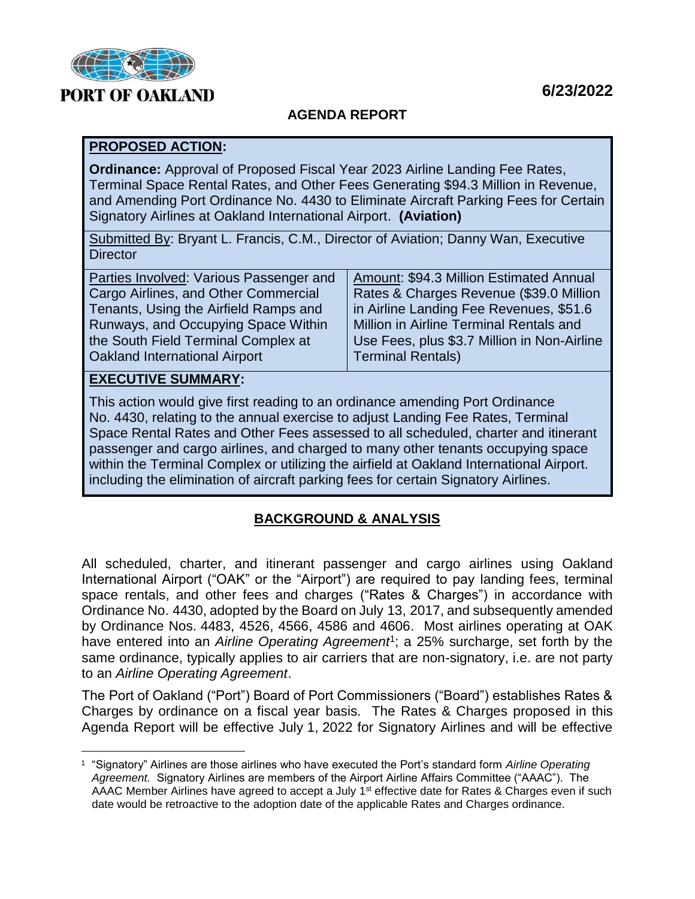

# **6/23/2022**

# **AGENDA REPORT**

## **PROPOSED ACTION:**

**Ordinance:** Approval of Proposed Fiscal Year 2023 Airline Landing Fee Rates, Terminal Space Rental Rates, and Other Fees Generating \$94.3 Million in Revenue, and Amending Port Ordinance No. 4430 to Eliminate Aircraft Parking Fees for Certain Signatory Airlines at Oakland International Airport. **(Aviation)**

Submitted By: Bryant L. Francis, C.M., Director of Aviation; Danny Wan, Executive **Director** 

| Amount: \$94.3 Million Estimated Annual     |
|---------------------------------------------|
| Rates & Charges Revenue (\$39.0 Million     |
| in Airline Landing Fee Revenues, \$51.6     |
| Million in Airline Terminal Rentals and     |
| Use Fees, plus \$3.7 Million in Non-Airline |
| <b>Terminal Rentals)</b>                    |
|                                             |

# **EXECUTIVE SUMMARY:**

i<br>L

This action would give first reading to an ordinance amending Port Ordinance No. 4430, relating to the annual exercise to adjust Landing Fee Rates, Terminal Space Rental Rates and Other Fees assessed to all scheduled, charter and itinerant passenger and cargo airlines, and charged to many other tenants occupying space within the Terminal Complex or utilizing the airfield at Oakland International Airport. including the elimination of aircraft parking fees for certain Signatory Airlines.

## **BACKGROUND & ANALYSIS**

All scheduled, charter, and itinerant passenger and cargo airlines using Oakland International Airport ("OAK" or the "Airport") are required to pay landing fees, terminal space rentals, and other fees and charges ("Rates & Charges") in accordance with Ordinance No. 4430, adopted by the Board on July 13, 2017, and subsequently amended by Ordinance Nos. 4483, 4526, 4566, 4586 and 4606. Most airlines operating at OAK have entered into an Airline Operating Agreement<sup>1</sup>; a 25% surcharge, set forth by the same ordinance, typically applies to air carriers that are non-signatory, i.e. are not party to an *Airline Operating Agreement*.

The Port of Oakland ("Port") Board of Port Commissioners ("Board") establishes Rates & Charges by ordinance on a fiscal year basis. The Rates & Charges proposed in this Agenda Report will be effective July 1, 2022 for Signatory Airlines and will be effective

<sup>1</sup> "Signatory" Airlines are those airlines who have executed the Port's standard form *Airline Operating Agreement.* Signatory Airlines are members of the Airport Airline Affairs Committee ("AAAC"). The AAAC Member Airlines have agreed to accept a July 1<sup>st</sup> effective date for Rates & Charges even if such date would be retroactive to the adoption date of the applicable Rates and Charges ordinance.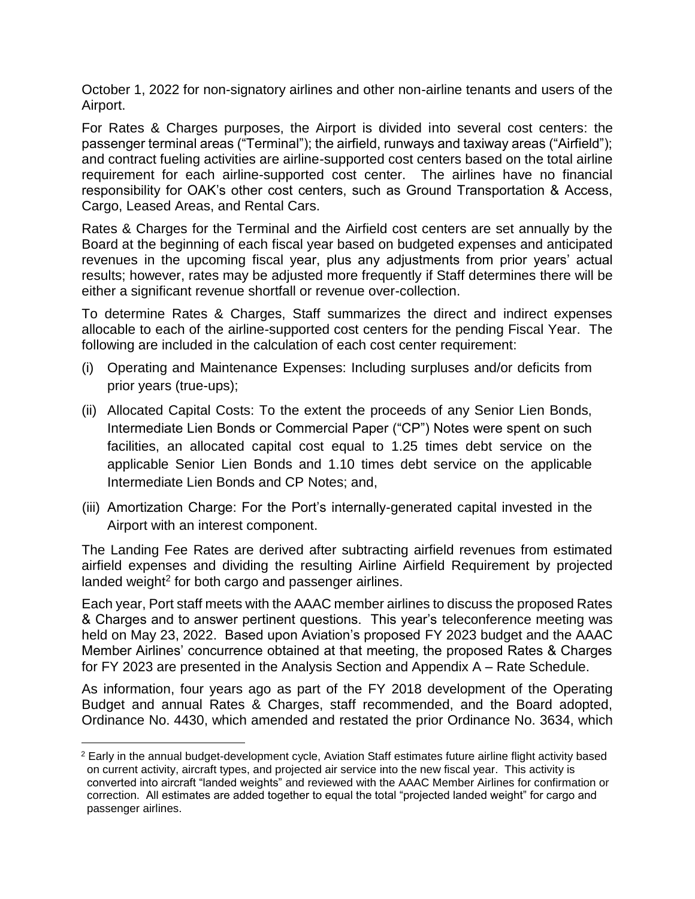October 1, 2022 for non-signatory airlines and other non-airline tenants and users of the Airport.

For Rates & Charges purposes, the Airport is divided into several cost centers: the passenger terminal areas ("Terminal"); the airfield, runways and taxiway areas ("Airfield"); and contract fueling activities are airline-supported cost centers based on the total airline requirement for each airline-supported cost center. The airlines have no financial responsibility for OAK's other cost centers, such as Ground Transportation & Access, Cargo, Leased Areas, and Rental Cars.

Rates & Charges for the Terminal and the Airfield cost centers are set annually by the Board at the beginning of each fiscal year based on budgeted expenses and anticipated revenues in the upcoming fiscal year, plus any adjustments from prior years' actual results; however, rates may be adjusted more frequently if Staff determines there will be either a significant revenue shortfall or revenue over-collection.

To determine Rates & Charges, Staff summarizes the direct and indirect expenses allocable to each of the airline-supported cost centers for the pending Fiscal Year. The following are included in the calculation of each cost center requirement:

- (i) Operating and Maintenance Expenses: Including surpluses and/or deficits from prior years (true-ups);
- (ii) Allocated Capital Costs: To the extent the proceeds of any Senior Lien Bonds, Intermediate Lien Bonds or Commercial Paper ("CP") Notes were spent on such facilities, an allocated capital cost equal to 1.25 times debt service on the applicable Senior Lien Bonds and 1.10 times debt service on the applicable Intermediate Lien Bonds and CP Notes; and,
- (iii) Amortization Charge: For the Port's internally-generated capital invested in the Airport with an interest component.

The Landing Fee Rates are derived after subtracting airfield revenues from estimated airfield expenses and dividing the resulting Airline Airfield Requirement by projected landed weight<sup>2</sup> for both cargo and passenger airlines.

Each year, Port staff meets with the AAAC member airlines to discuss the proposed Rates & Charges and to answer pertinent questions. This year's teleconference meeting was held on May 23, 2022. Based upon Aviation's proposed FY 2023 budget and the AAAC Member Airlines' concurrence obtained at that meeting, the proposed Rates & Charges for FY 2023 are presented in the Analysis Section and Appendix A – Rate Schedule.

As information, four years ago as part of the FY 2018 development of the Operating Budget and annual Rates & Charges, staff recommended, and the Board adopted, Ordinance No. 4430, which amended and restated the prior Ordinance No. 3634, which

i<br>L

<sup>&</sup>lt;sup>2</sup> Early in the annual budget-development cycle, Aviation Staff estimates future airline flight activity based on current activity, aircraft types, and projected air service into the new fiscal year. This activity is converted into aircraft "landed weights" and reviewed with the AAAC Member Airlines for confirmation or correction. All estimates are added together to equal the total "projected landed weight" for cargo and passenger airlines.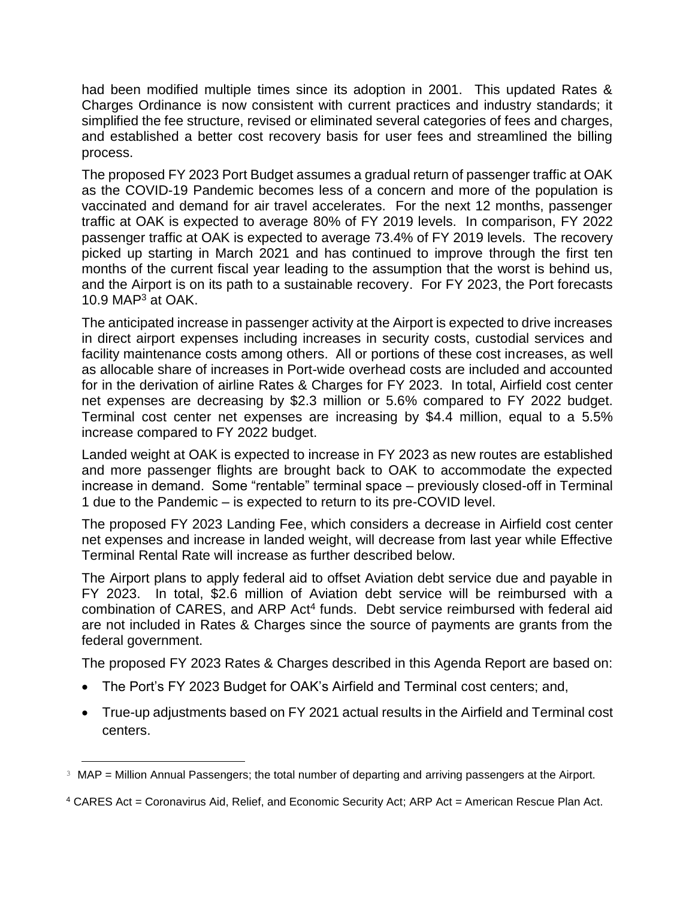had been modified multiple times since its adoption in 2001. This updated Rates & Charges Ordinance is now consistent with current practices and industry standards; it simplified the fee structure, revised or eliminated several categories of fees and charges, and established a better cost recovery basis for user fees and streamlined the billing process.

The proposed FY 2023 Port Budget assumes a gradual return of passenger traffic at OAK as the COVID-19 Pandemic becomes less of a concern and more of the population is vaccinated and demand for air travel accelerates. For the next 12 months, passenger traffic at OAK is expected to average 80% of FY 2019 levels. In comparison, FY 2022 passenger traffic at OAK is expected to average 73.4% of FY 2019 levels. The recovery picked up starting in March 2021 and has continued to improve through the first ten months of the current fiscal year leading to the assumption that the worst is behind us, and the Airport is on its path to a sustainable recovery. For FY 2023, the Port forecasts 10.9 MAP<sup>3</sup> at OAK.

The anticipated increase in passenger activity at the Airport is expected to drive increases in direct airport expenses including increases in security costs, custodial services and facility maintenance costs among others. All or portions of these cost increases, as well as allocable share of increases in Port-wide overhead costs are included and accounted for in the derivation of airline Rates & Charges for FY 2023. In total, Airfield cost center net expenses are decreasing by \$2.3 million or 5.6% compared to FY 2022 budget. Terminal cost center net expenses are increasing by \$4.4 million, equal to a 5.5% increase compared to FY 2022 budget.

Landed weight at OAK is expected to increase in FY 2023 as new routes are established and more passenger flights are brought back to OAK to accommodate the expected increase in demand. Some "rentable" terminal space – previously closed-off in Terminal 1 due to the Pandemic – is expected to return to its pre-COVID level.

The proposed FY 2023 Landing Fee, which considers a decrease in Airfield cost center net expenses and increase in landed weight, will decrease from last year while Effective Terminal Rental Rate will increase as further described below.

The Airport plans to apply federal aid to offset Aviation debt service due and payable in FY 2023. In total, \$2.6 million of Aviation debt service will be reimbursed with a combination of CARES, and ARP Act<sup>4</sup> funds. Debt service reimbursed with federal aid are not included in Rates & Charges since the source of payments are grants from the federal government.

The proposed FY 2023 Rates & Charges described in this Agenda Report are based on:

- The Port's FY 2023 Budget for OAK's Airfield and Terminal cost centers; and,
- True-up adjustments based on FY 2021 actual results in the Airfield and Terminal cost centers.

i<br>L

<sup>&</sup>lt;sup>3</sup> MAP = Million Annual Passengers; the total number of departing and arriving passengers at the Airport.

<sup>4</sup> CARES Act = Coronavirus Aid, Relief, and Economic Security Act; ARP Act = American Rescue Plan Act.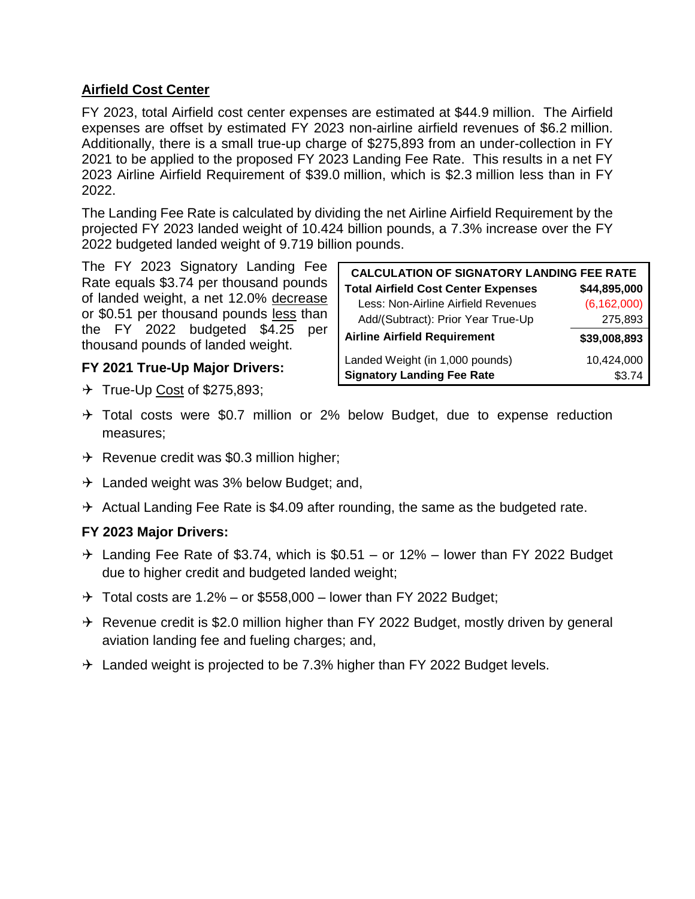# **Airfield Cost Center**

FY 2023, total Airfield cost center expenses are estimated at \$44.9 million. The Airfield expenses are offset by estimated FY 2023 non-airline airfield revenues of \$6.2 million. Additionally, there is a small true-up charge of \$275,893 from an under-collection in FY 2021 to be applied to the proposed FY 2023 Landing Fee Rate. This results in a net FY 2023 Airline Airfield Requirement of \$39.0 million, which is \$2.3 million less than in FY 2022.

The Landing Fee Rate is calculated by dividing the net Airline Airfield Requirement by the projected FY 2023 landed weight of 10.424 billion pounds, a 7.3% increase over the FY 2022 budgeted landed weight of 9.719 billion pounds.

The FY 2023 Signatory Landing Fee Rate equals \$3.74 per thousand pounds of landed weight, a net 12.0% decrease or \$0.51 per thousand pounds less than the FY 2022 budgeted \$4.25 per thousand pounds of landed weight.

# **FY 2021 True-Up Major Drivers:**

 $\rightarrow$  True-Up Cost of \$275,893;

| <b>CALCULATION OF SIGNATORY LANDING FEE RATE</b> |               |
|--------------------------------------------------|---------------|
| <b>Total Airfield Cost Center Expenses</b>       | \$44,895,000  |
| Less: Non-Airline Airfield Revenues              | (6, 162, 000) |
| Add/(Subtract): Prior Year True-Up               | 275,893       |
| <b>Airline Airfield Requirement</b>              | \$39,008,893  |
| Landed Weight (in 1,000 pounds)                  | 10,424,000    |
| <b>Signatory Landing Fee Rate</b>                | \$3.74        |

- $\rightarrow$  Total costs were \$0.7 million or 2% below Budget, due to expense reduction measures;
- $\rightarrow$  Revenue credit was \$0.3 million higher;
- $\rightarrow$  Landed weight was 3% below Budget; and,
- $\rightarrow$  Actual Landing Fee Rate is \$4.09 after rounding, the same as the budgeted rate.

# **FY 2023 Major Drivers:**

- $\rightarrow$  Landing Fee Rate of \$3.74, which is \$0.51 or 12% lower than FY 2022 Budget due to higher credit and budgeted landed weight;
- $\rightarrow$  Total costs are 1.2% or \$558,000 lower than FY 2022 Budget;
- $\rightarrow$  Revenue credit is \$2.0 million higher than FY 2022 Budget, mostly driven by general aviation landing fee and fueling charges; and,
- $\rightarrow$  Landed weight is projected to be 7.3% higher than FY 2022 Budget levels.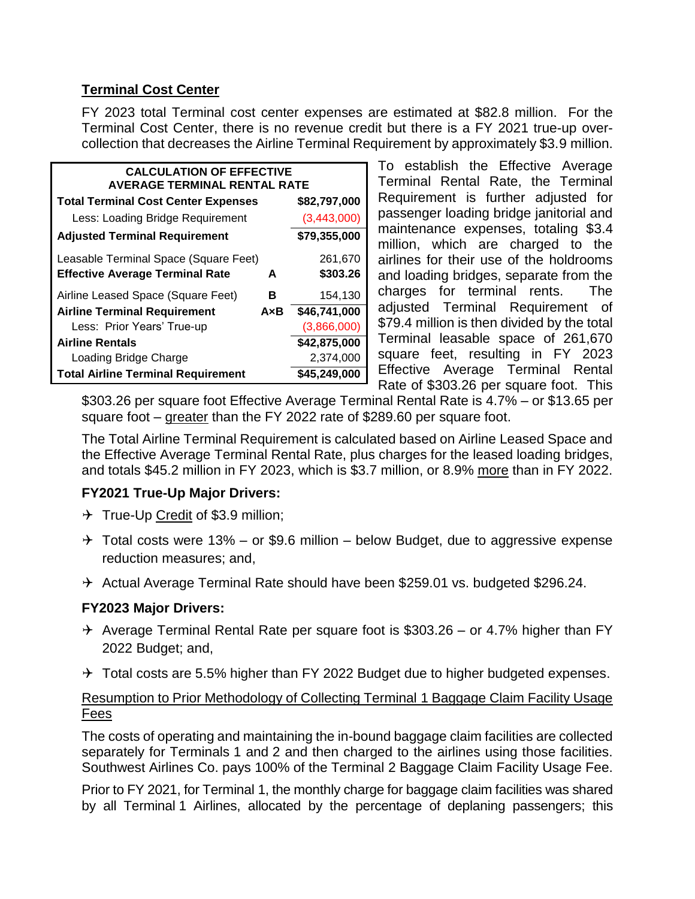# **Terminal Cost Center**

FY 2023 total Terminal cost center expenses are estimated at \$82.8 million. For the Terminal Cost Center, there is no revenue credit but there is a FY 2021 true-up overcollection that decreases the Airline Terminal Requirement by approximately \$3.9 million.

| <b>CALCULATION OF EFFECTIVE</b><br>AVERAGE TERMINAL RENTAL RATE |              |              |  |
|-----------------------------------------------------------------|--------------|--------------|--|
| <b>Total Terminal Cost Center Expenses</b>                      | \$82,797,000 |              |  |
| Less: Loading Bridge Requirement                                |              | (3,443,000)  |  |
| <b>Adjusted Terminal Requirement</b>                            |              | \$79,355,000 |  |
| Leasable Terminal Space (Square Feet)                           |              | 261,670      |  |
| <b>Effective Average Terminal Rate</b>                          | A            | \$303.26     |  |
| Airline Leased Space (Square Feet)                              | в            | 154,130      |  |
| <b>Airline Terminal Requirement</b>                             | AxB          | \$46,741,000 |  |
| Less: Prior Years' True-up                                      |              | (3,866,000)  |  |
| <b>Airline Rentals</b>                                          |              | \$42,875,000 |  |
| Loading Bridge Charge                                           |              | 2,374,000    |  |
| <b>Total Airline Terminal Requirement</b>                       |              | \$45,249,000 |  |

To establish the Effective Average Terminal Rental Rate, the Terminal Requirement is further adjusted for passenger loading bridge janitorial and maintenance expenses, totaling \$3.4 million, which are charged to the airlines for their use of the holdrooms and loading bridges, separate from the charges for terminal rents. The adjusted Terminal Requirement of \$79.4 million is then divided by the total Terminal leasable space of 261,670 square feet, resulting in FY 2023 Effective Average Terminal Rental Rate of \$303.26 per square foot. This

\$303.26 per square foot Effective Average Terminal Rental Rate is 4.7% – or \$13.65 per square foot – greater than the FY 2022 rate of \$289.60 per square foot.

The Total Airline Terminal Requirement is calculated based on Airline Leased Space and the Effective Average Terminal Rental Rate, plus charges for the leased loading bridges, and totals \$45.2 million in FY 2023, which is \$3.7 million, or 8.9% more than in FY 2022.

# **FY2021 True-Up Major Drivers:**

- $\rightarrow$  True-Up Credit of \$3.9 million;
- $\rightarrow$  Total costs were 13% or \$9.6 million below Budget, due to aggressive expense reduction measures; and,
- $\rightarrow$  Actual Average Terminal Rate should have been \$259.01 vs. budgeted \$296.24.

# **FY2023 Major Drivers:**

- $\rightarrow$  Average Terminal Rental Rate per square foot is \$303.26 or 4.7% higher than FY 2022 Budget; and,
- $\rightarrow$  Total costs are 5.5% higher than FY 2022 Budget due to higher budgeted expenses.

# Resumption to Prior Methodology of Collecting Terminal 1 Baggage Claim Facility Usage Fees

The costs of operating and maintaining the in-bound baggage claim facilities are collected separately for Terminals 1 and 2 and then charged to the airlines using those facilities. Southwest Airlines Co. pays 100% of the Terminal 2 Baggage Claim Facility Usage Fee.

Prior to FY 2021, for Terminal 1, the monthly charge for baggage claim facilities was shared by all Terminal 1 Airlines, allocated by the percentage of deplaning passengers; this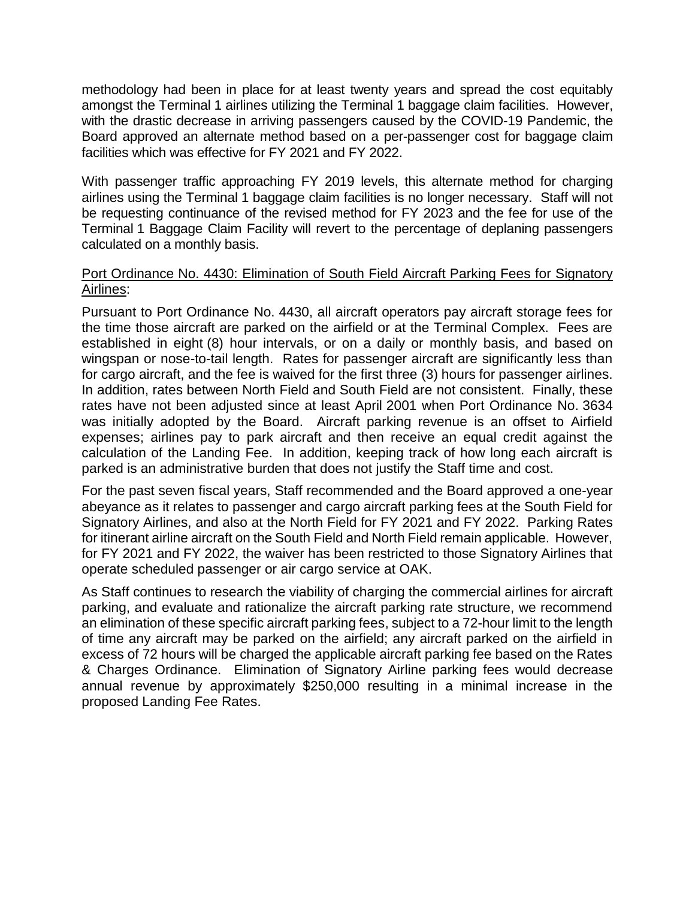methodology had been in place for at least twenty years and spread the cost equitably amongst the Terminal 1 airlines utilizing the Terminal 1 baggage claim facilities. However, with the drastic decrease in arriving passengers caused by the COVID-19 Pandemic, the Board approved an alternate method based on a per-passenger cost for baggage claim facilities which was effective for FY 2021 and FY 2022.

With passenger traffic approaching FY 2019 levels, this alternate method for charging airlines using the Terminal 1 baggage claim facilities is no longer necessary. Staff will not be requesting continuance of the revised method for FY 2023 and the fee for use of the Terminal 1 Baggage Claim Facility will revert to the percentage of deplaning passengers calculated on a monthly basis.

### Port Ordinance No. 4430: Elimination of South Field Aircraft Parking Fees for Signatory Airlines:

Pursuant to Port Ordinance No. 4430, all aircraft operators pay aircraft storage fees for the time those aircraft are parked on the airfield or at the Terminal Complex. Fees are established in eight (8) hour intervals, or on a daily or monthly basis, and based on wingspan or nose-to-tail length. Rates for passenger aircraft are significantly less than for cargo aircraft, and the fee is waived for the first three (3) hours for passenger airlines. In addition, rates between North Field and South Field are not consistent. Finally, these rates have not been adjusted since at least April 2001 when Port Ordinance No. 3634 was initially adopted by the Board. Aircraft parking revenue is an offset to Airfield expenses; airlines pay to park aircraft and then receive an equal credit against the calculation of the Landing Fee. In addition, keeping track of how long each aircraft is parked is an administrative burden that does not justify the Staff time and cost.

For the past seven fiscal years, Staff recommended and the Board approved a one-year abeyance as it relates to passenger and cargo aircraft parking fees at the South Field for Signatory Airlines, and also at the North Field for FY 2021 and FY 2022. Parking Rates for itinerant airline aircraft on the South Field and North Field remain applicable. However, for FY 2021 and FY 2022, the waiver has been restricted to those Signatory Airlines that operate scheduled passenger or air cargo service at OAK.

As Staff continues to research the viability of charging the commercial airlines for aircraft parking, and evaluate and rationalize the aircraft parking rate structure, we recommend an elimination of these specific aircraft parking fees, subject to a 72-hour limit to the length of time any aircraft may be parked on the airfield; any aircraft parked on the airfield in excess of 72 hours will be charged the applicable aircraft parking fee based on the Rates & Charges Ordinance. Elimination of Signatory Airline parking fees would decrease annual revenue by approximately \$250,000 resulting in a minimal increase in the proposed Landing Fee Rates.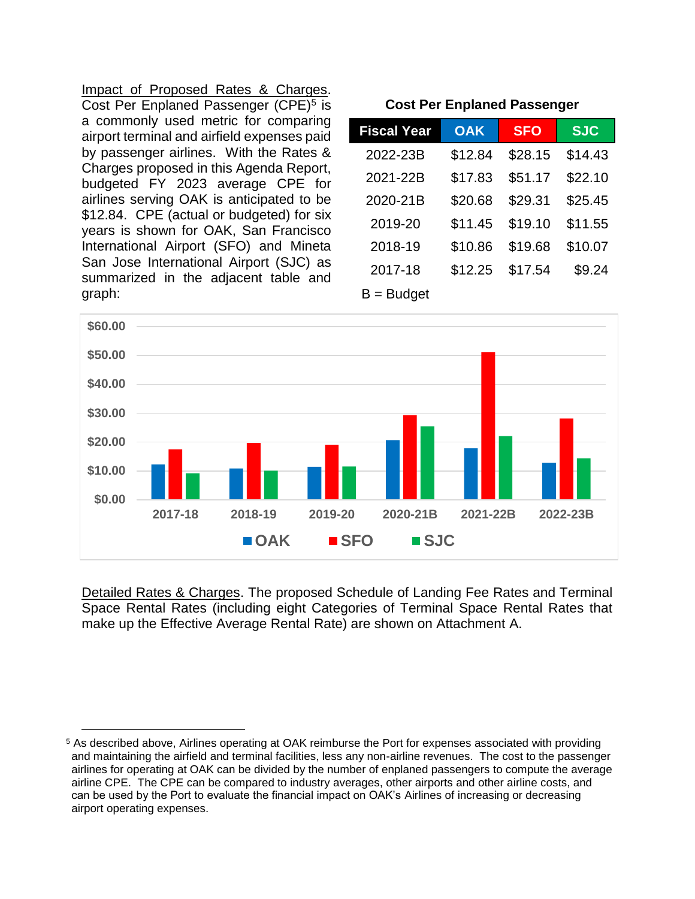Impact of Proposed Rates & Charges. Cost Per Enplaned Passenger (CPE)<sup>5</sup> is a commonly used metric for comparing airport terminal and airfield expenses paid by passenger airlines. With the Rates & Charges proposed in this Agenda Report, budgeted FY 2023 average CPE for airlines serving OAK is anticipated to be \$12.84. CPE (actual or budgeted) for six years is shown for OAK, San Francisco International Airport (SFO) and Mineta San Jose International Airport (SJC) as summarized in the adjacent table and graph:

i<br>L

**Cost Per Enplaned Passenger**

| <b>Fiscal Year</b> | <b>OAK</b> | <b>SFO</b> | <b>SJC</b> |
|--------------------|------------|------------|------------|
| 2022-23B           | \$12.84    | \$28.15    | \$14.43    |
| 2021-22B           | \$17.83    | \$51.17    | \$22.10    |
| 2020-21B           | \$20.68    | \$29.31    | \$25.45    |
| 2019-20            | \$11.45    | \$19.10    | \$11.55    |
| 2018-19            | \$10.86    | \$19.68    | \$10.07    |
| 2017-18            | \$12.25    | \$17.54    | \$9.24     |
|                    |            |            |            |

 $B =$  Budget



Detailed Rates & Charges. The proposed Schedule of Landing Fee Rates and Terminal Space Rental Rates (including eight Categories of Terminal Space Rental Rates that make up the Effective Average Rental Rate) are shown on Attachment A.

<sup>5</sup> As described above, Airlines operating at OAK reimburse the Port for expenses associated with providing and maintaining the airfield and terminal facilities, less any non-airline revenues. The cost to the passenger airlines for operating at OAK can be divided by the number of enplaned passengers to compute the average airline CPE. The CPE can be compared to industry averages, other airports and other airline costs, and can be used by the Port to evaluate the financial impact on OAK's Airlines of increasing or decreasing airport operating expenses.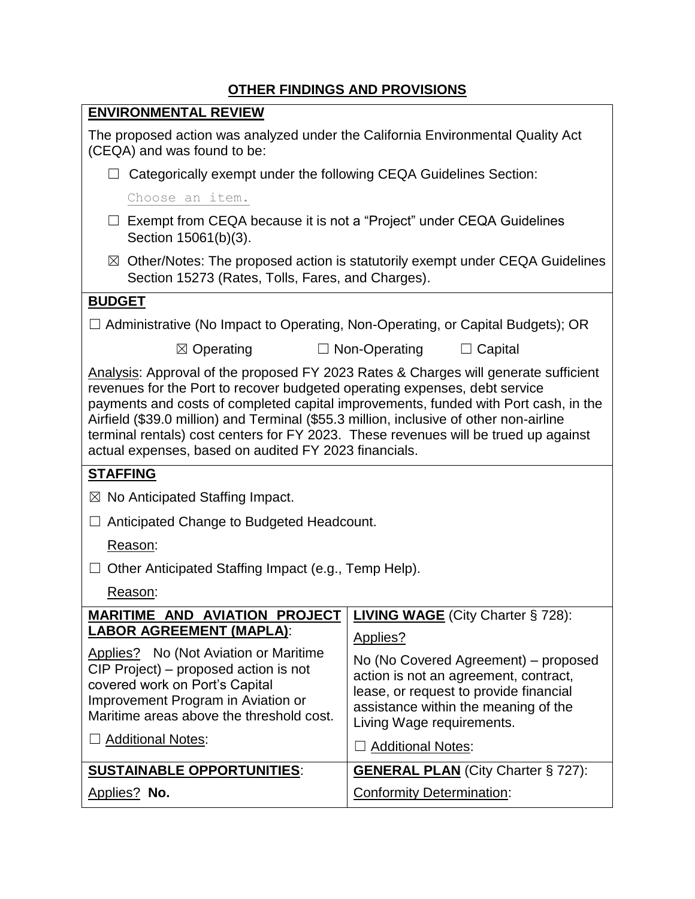# **OTHER FINDINGS AND PROVISIONS**

| <b>UTHER FINDINGS AND PROVISIONS</b>                                                                                                                                                                                                                                                                                                                                                                                                                                                               |                                                                                                                                                                                              |  |  |  |
|----------------------------------------------------------------------------------------------------------------------------------------------------------------------------------------------------------------------------------------------------------------------------------------------------------------------------------------------------------------------------------------------------------------------------------------------------------------------------------------------------|----------------------------------------------------------------------------------------------------------------------------------------------------------------------------------------------|--|--|--|
| <b>ENVIRONMENTAL REVIEW</b>                                                                                                                                                                                                                                                                                                                                                                                                                                                                        |                                                                                                                                                                                              |  |  |  |
| (CEQA) and was found to be:                                                                                                                                                                                                                                                                                                                                                                                                                                                                        | The proposed action was analyzed under the California Environmental Quality Act                                                                                                              |  |  |  |
| Categorically exempt under the following CEQA Guidelines Section:                                                                                                                                                                                                                                                                                                                                                                                                                                  |                                                                                                                                                                                              |  |  |  |
| Choose an item.                                                                                                                                                                                                                                                                                                                                                                                                                                                                                    |                                                                                                                                                                                              |  |  |  |
| Exempt from CEQA because it is not a "Project" under CEQA Guidelines<br>Section 15061(b)(3).                                                                                                                                                                                                                                                                                                                                                                                                       |                                                                                                                                                                                              |  |  |  |
| $\boxtimes$ Other/Notes: The proposed action is statutorily exempt under CEQA Guidelines<br>Section 15273 (Rates, Tolls, Fares, and Charges).                                                                                                                                                                                                                                                                                                                                                      |                                                                                                                                                                                              |  |  |  |
| <b>BUDGET</b>                                                                                                                                                                                                                                                                                                                                                                                                                                                                                      |                                                                                                                                                                                              |  |  |  |
| $\Box$ Administrative (No Impact to Operating, Non-Operating, or Capital Budgets); OR                                                                                                                                                                                                                                                                                                                                                                                                              |                                                                                                                                                                                              |  |  |  |
| $\boxtimes$ Operating                                                                                                                                                                                                                                                                                                                                                                                                                                                                              | $\Box$ Non-Operating<br>$\Box$ Capital                                                                                                                                                       |  |  |  |
| Analysis: Approval of the proposed FY 2023 Rates & Charges will generate sufficient<br>revenues for the Port to recover budgeted operating expenses, debt service<br>payments and costs of completed capital improvements, funded with Port cash, in the<br>Airfield (\$39.0 million) and Terminal (\$55.3 million, inclusive of other non-airline<br>terminal rentals) cost centers for FY 2023. These revenues will be trued up against<br>actual expenses, based on audited FY 2023 financials. |                                                                                                                                                                                              |  |  |  |
| <b>STAFFING</b>                                                                                                                                                                                                                                                                                                                                                                                                                                                                                    |                                                                                                                                                                                              |  |  |  |
| $\boxtimes$ No Anticipated Staffing Impact.                                                                                                                                                                                                                                                                                                                                                                                                                                                        |                                                                                                                                                                                              |  |  |  |
| Anticipated Change to Budgeted Headcount.<br>⊔                                                                                                                                                                                                                                                                                                                                                                                                                                                     |                                                                                                                                                                                              |  |  |  |
| Reason:                                                                                                                                                                                                                                                                                                                                                                                                                                                                                            |                                                                                                                                                                                              |  |  |  |
| Other Anticipated Staffing Impact (e.g., Temp Help).<br>$\Box$                                                                                                                                                                                                                                                                                                                                                                                                                                     |                                                                                                                                                                                              |  |  |  |
| Reason:                                                                                                                                                                                                                                                                                                                                                                                                                                                                                            |                                                                                                                                                                                              |  |  |  |
| <b>MARITIME AND AVIATION PROJECT</b>                                                                                                                                                                                                                                                                                                                                                                                                                                                               | <b>LIVING WAGE</b> (City Charter § 728):                                                                                                                                                     |  |  |  |
| <b>LABOR AGREEMENT (MAPLA):</b>                                                                                                                                                                                                                                                                                                                                                                                                                                                                    | Applies?                                                                                                                                                                                     |  |  |  |
| Applies? No (Not Aviation or Maritime<br>CIP Project) – proposed action is not<br>covered work on Port's Capital<br>Improvement Program in Aviation or<br>Maritime areas above the threshold cost.<br><b>Additional Notes:</b>                                                                                                                                                                                                                                                                     | No (No Covered Agreement) – proposed<br>action is not an agreement, contract,<br>lease, or request to provide financial<br>assistance within the meaning of the<br>Living Wage requirements. |  |  |  |
|                                                                                                                                                                                                                                                                                                                                                                                                                                                                                                    | <b>Additional Notes:</b>                                                                                                                                                                     |  |  |  |
| <b>SUSTAINABLE OPPORTUNITIES:</b>                                                                                                                                                                                                                                                                                                                                                                                                                                                                  | <b>GENERAL PLAN</b> (City Charter § 727):                                                                                                                                                    |  |  |  |
| <b>Conformity Determination:</b><br>Applies? No.                                                                                                                                                                                                                                                                                                                                                                                                                                                   |                                                                                                                                                                                              |  |  |  |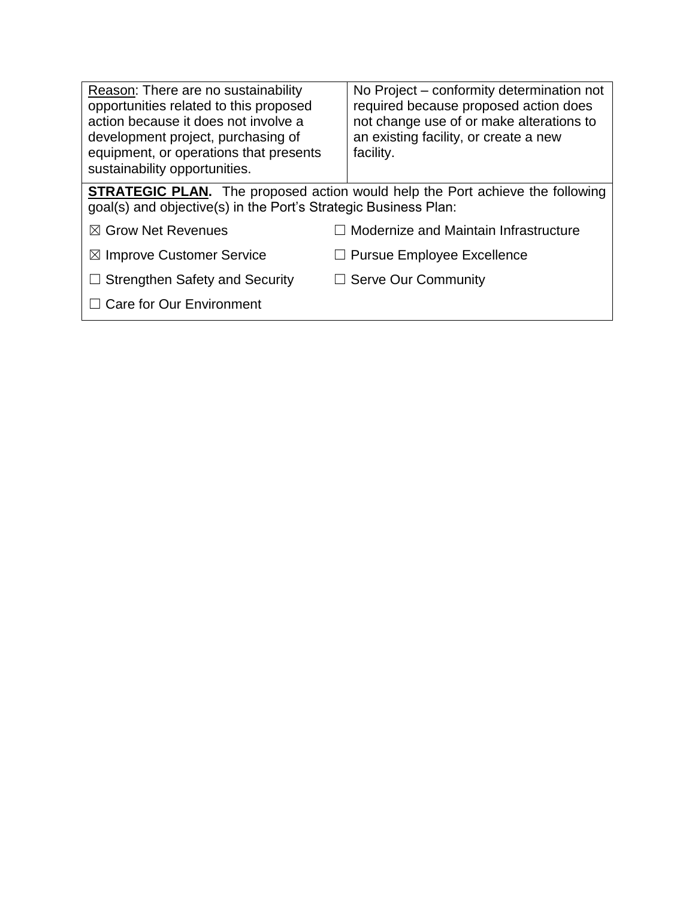| Reason: There are no sustainability<br>opportunities related to this proposed<br>action because it does not involve a<br>development project, purchasing of<br>equipment, or operations that presents<br>sustainability opportunities. | No Project - conformity determination not<br>required because proposed action does<br>not change use of or make alterations to<br>an existing facility, or create a new<br>facility. |
|----------------------------------------------------------------------------------------------------------------------------------------------------------------------------------------------------------------------------------------|--------------------------------------------------------------------------------------------------------------------------------------------------------------------------------------|
| goal(s) and objective(s) in the Port's Strategic Business Plan:                                                                                                                                                                        | <b>STRATEGIC PLAN.</b> The proposed action would help the Port achieve the following                                                                                                 |
| $\boxtimes$ Grow Net Revenues                                                                                                                                                                                                          | $\Box$ Modernize and Maintain Infrastructure                                                                                                                                         |
| $\boxtimes$ Improve Customer Service                                                                                                                                                                                                   | $\Box$ Pursue Employee Excellence                                                                                                                                                    |
| $\Box$ Strengthen Safety and Security                                                                                                                                                                                                  | $\Box$ Serve Our Community                                                                                                                                                           |
| $\Box$ Care for Our Environment                                                                                                                                                                                                        |                                                                                                                                                                                      |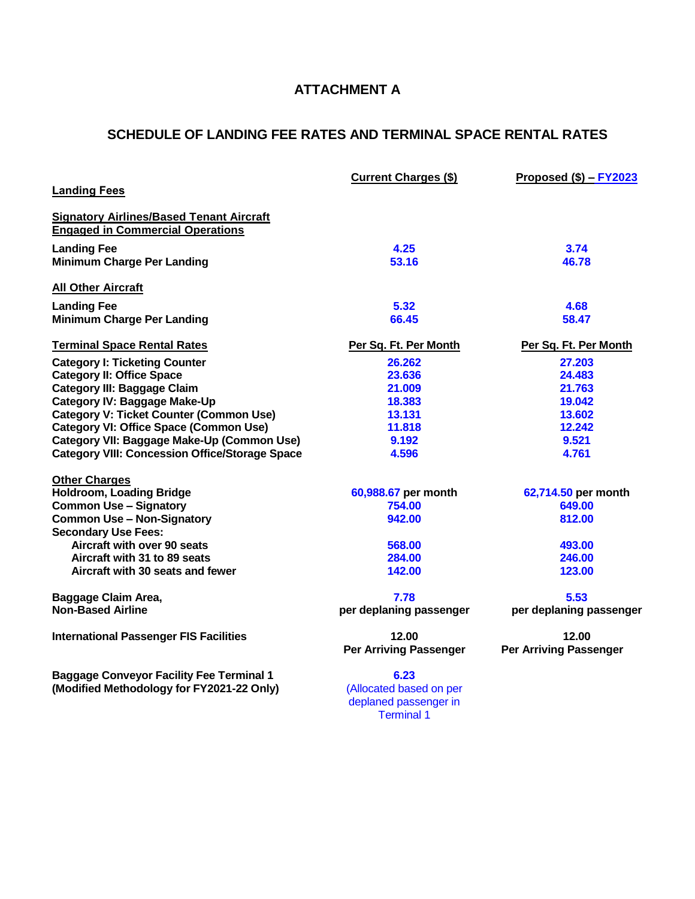# **ATTACHMENT A**

# **SCHEDULE OF LANDING FEE RATES AND TERMINAL SPACE RENTAL RATES**

| <b>Landing Fees</b>                                                                        | <b>Current Charges (\$)</b>                      | Proposed $($)$ – $FY2023$     |
|--------------------------------------------------------------------------------------------|--------------------------------------------------|-------------------------------|
| <b>Signatory Airlines/Based Tenant Aircraft</b><br><b>Engaged in Commercial Operations</b> |                                                  |                               |
| <b>Landing Fee</b>                                                                         | 4.25                                             | 3.74                          |
| <b>Minimum Charge Per Landing</b>                                                          | 53.16                                            | 46.78                         |
| <b>All Other Aircraft</b>                                                                  |                                                  |                               |
| <b>Landing Fee</b>                                                                         | 5.32                                             | 4.68                          |
| <b>Minimum Charge Per Landing</b>                                                          | 66.45                                            | 58.47                         |
| <b>Terminal Space Rental Rates</b>                                                         | Per Sq. Ft. Per Month                            | Per Sq. Ft. Per Month         |
| <b>Category I: Ticketing Counter</b>                                                       | 26.262                                           | 27.203                        |
| <b>Category II: Office Space</b>                                                           | 23.636                                           | 24.483                        |
| <b>Category III: Baggage Claim</b>                                                         | 21.009                                           | 21.763                        |
| <b>Category IV: Baggage Make-Up</b>                                                        | 18.383                                           | 19.042                        |
| <b>Category V: Ticket Counter (Common Use)</b>                                             | 13.131                                           | 13.602                        |
| <b>Category VI: Office Space (Common Use)</b>                                              | 11.818                                           | 12.242                        |
| Category VII: Baggage Make-Up (Common Use)                                                 | 9.192                                            | 9.521                         |
| <b>Category VIII: Concession Office/Storage Space</b>                                      | 4.596                                            | 4.761                         |
| <b>Other Charges</b>                                                                       |                                                  |                               |
| <b>Holdroom, Loading Bridge</b>                                                            | 60,988.67 per month                              | 62,714.50 per month           |
| <b>Common Use - Signatory</b>                                                              | 754.00                                           | 649.00                        |
| <b>Common Use - Non-Signatory</b><br><b>Secondary Use Fees:</b>                            | 942.00                                           | 812.00                        |
| Aircraft with over 90 seats                                                                | 568.00                                           | 493.00                        |
| Aircraft with 31 to 89 seats                                                               | 284.00                                           | 246.00                        |
| Aircraft with 30 seats and fewer                                                           | 142.00                                           | 123.00                        |
| Baggage Claim Area,                                                                        | 7.78                                             | 5.53                          |
| <b>Non-Based Airline</b>                                                                   | per deplaning passenger                          | per deplaning passenger       |
| <b>International Passenger FIS Facilities</b>                                              | 12.00                                            | 12.00                         |
|                                                                                            | <b>Per Arriving Passenger</b>                    | <b>Per Arriving Passenger</b> |
| <b>Baggage Conveyor Facility Fee Terminal 1</b>                                            | 6.23                                             |                               |
| (Modified Methodology for FY2021-22 Only)                                                  | (Allocated based on per<br>deplaned passenger in |                               |

Terminal 1